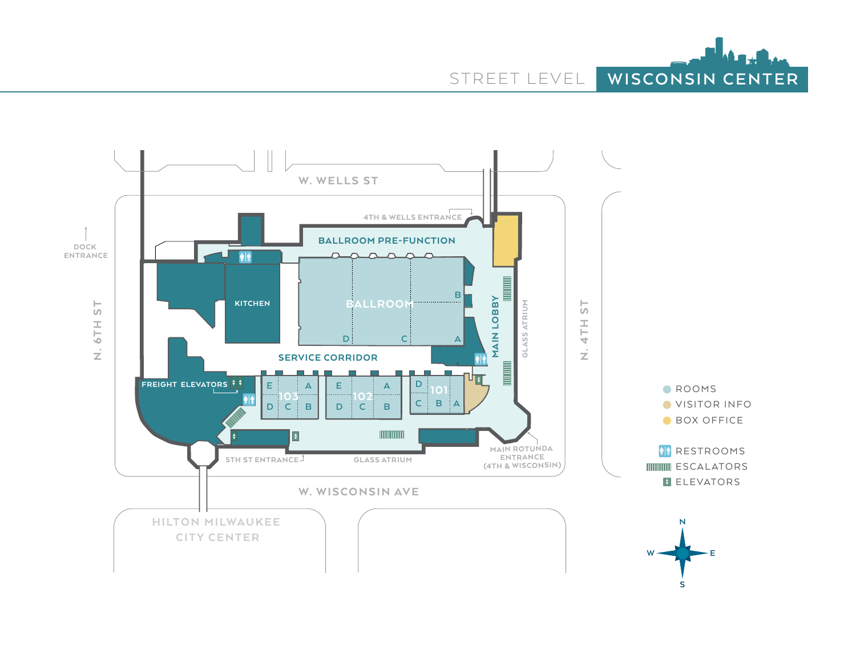